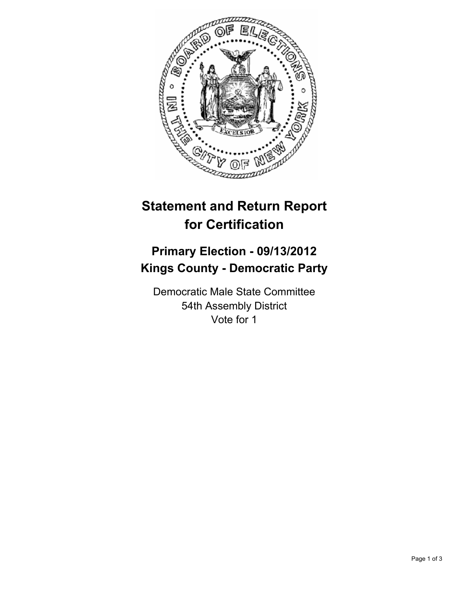

## **Statement and Return Report for Certification**

## **Primary Election - 09/13/2012 Kings County - Democratic Party**

Democratic Male State Committee 54th Assembly District Vote for 1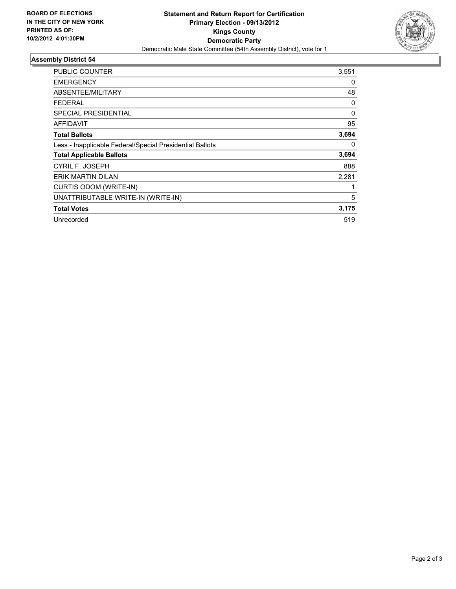

## **Assembly District 54**

| <b>PUBLIC COUNTER</b>                                    | 3,551    |
|----------------------------------------------------------|----------|
| <b>EMERGENCY</b>                                         | 0        |
| ABSENTEE/MILITARY                                        | 48       |
| <b>FEDERAL</b>                                           | 0        |
| <b>SPECIAL PRESIDENTIAL</b>                              | $\Omega$ |
| <b>AFFIDAVIT</b>                                         | 95       |
| <b>Total Ballots</b>                                     | 3,694    |
| Less - Inapplicable Federal/Special Presidential Ballots | 0        |
| <b>Total Applicable Ballots</b>                          | 3,694    |
| CYRIL F. JOSEPH                                          | 888      |
| ERIK MARTIN DILAN                                        | 2,281    |
| CURTIS ODOM (WRITE-IN)                                   |          |
| UNATTRIBUTABLE WRITE-IN (WRITE-IN)                       | 5        |
| <b>Total Votes</b>                                       | 3,175    |
| Unrecorded                                               | 519      |